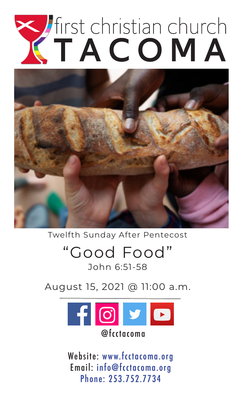# Thirst christian church



Twelfth Sunday After Pentecost

# "Good Food" John 6:51-58

August 15, 2021 @ 11:00 a.m.



Website: www.fcctacoma.org Email: info@fcctacoma.org Phone: 253.752.7734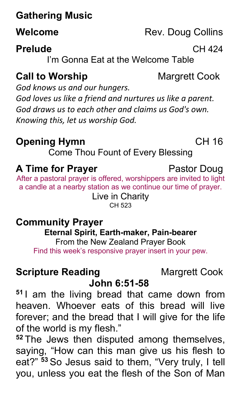# **Gathering Music**

# **Prelude** CH 424

I'm Gonna Eat at the Welcome Table

# **Call to Worship Margrett Cook**

*God knows us and our hungers. God loves us like a friend and nurtures us like a parent. God draws us to each other and claims us God's own. Knowing this, let us worship God.*

# **Opening Hymn** CH 16

Come Thou Fount of Every Blessing

# **A Time for Prayer Pastor Doug**

After a pastoral prayer is offered, worshippers are invited to light a candle at a nearby station as we continue our time of prayer. Live in Charity

CH 523

## **Community Prayer**

**Eternal Spirit, Earth-maker, Pain-bearer**

From the New Zealand Prayer Book Find this week's responsive prayer insert in your pew.

# **Scripture Reading Margrett Cook**

# **John 6:51-58**

**<sup>51</sup>** I am the living bread that came down from heaven. Whoever eats of this bread will live forever; and the bread that I will give for the life of the world is my flesh."

**<sup>52</sup>** The Jews then disputed among themselves, saying, "How can this man give us his flesh to eat?" **<sup>53</sup>** So Jesus said to them, "Very truly, I tell you, unless you eat the flesh of the Son of Man

**Welcome** Rev. Doug Collins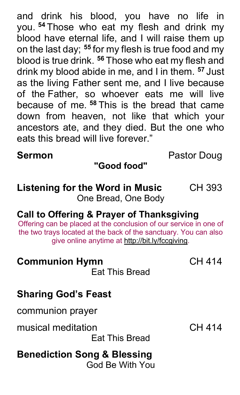and drink his blood, you have no life in you. **<sup>54</sup>** Those who eat my flesh and drink my blood have eternal life, and I will raise them up on the last day; **<sup>55</sup>** for my flesh is true food and my blood is true drink. **<sup>56</sup>** Those who eat my flesh and drink my blood abide in me, and I in them. **<sup>57</sup>** Just as the living Father sent me, and I live because of the Father, so whoever eats me will live because of me. **<sup>58</sup>** This is the bread that came down from heaven, not like that which your ancestors ate, and they died. But the one who eats this bread will live forever."

**Sermon Pastor Doug** 

# **"Good food"**

#### **Listening for the Word in Music** CH 393 One Bread, One Body

# **Call to Offering & Prayer of Thanksgiving**

Offering can be placed at the conclusion of our service in one of the two trays located at the back of the sanctuary. You can also give online anytime at http://bit.ly/fccgiving.

## **Communion Hymn** CH 414

Eat This Bread

## **Sharing God's Feast**

communion prayer

musical meditation **CH 414** 

Eat This Bread

#### **Benediction Song & Blessing** God Be With You